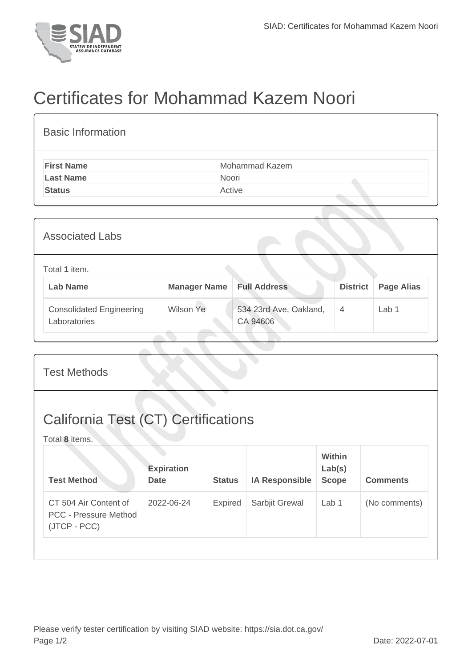

Laboratories

## Certificates for Mohammad Kazem Noori

| <b>Basic Information</b>        |                     |                        |                 |                   |  |  |  |
|---------------------------------|---------------------|------------------------|-----------------|-------------------|--|--|--|
| <b>First Name</b>               |                     | Mohammad Kazem         |                 |                   |  |  |  |
| <b>Last Name</b>                |                     | Noori                  |                 |                   |  |  |  |
| Active<br><b>Status</b>         |                     |                        |                 |                   |  |  |  |
|                                 |                     |                        |                 |                   |  |  |  |
| <b>Associated Labs</b>          |                     |                        |                 |                   |  |  |  |
| Total 1 item.                   |                     |                        |                 |                   |  |  |  |
| <b>Lab Name</b>                 | <b>Manager Name</b> | <b>Full Address</b>    | <b>District</b> | <b>Page Alias</b> |  |  |  |
| <b>Consolidated Engineering</b> | <b>Wilson Ye</b>    | 534 23rd Ave, Oakland, | 4               | Lab 1             |  |  |  |

CA 94606

| <b>Test Methods</b>                                          |                                  |                |                       |                                  |                 |  |
|--------------------------------------------------------------|----------------------------------|----------------|-----------------------|----------------------------------|-----------------|--|
| <b>California Test (CT) Certifications</b><br>Total 8 items. |                                  |                |                       |                                  |                 |  |
| <b>Test Method</b>                                           | <b>Expiration</b><br><b>Date</b> | <b>Status</b>  | <b>IA Responsible</b> | Within<br>Lab(s)<br><b>Scope</b> | <b>Comments</b> |  |
| CT 504 Air Content of<br><b>PCC - Pressure Method</b>        | 2022-06-24                       | <b>Expired</b> | Sarbjit Grewal        | Lab 1                            | (No comments)   |  |